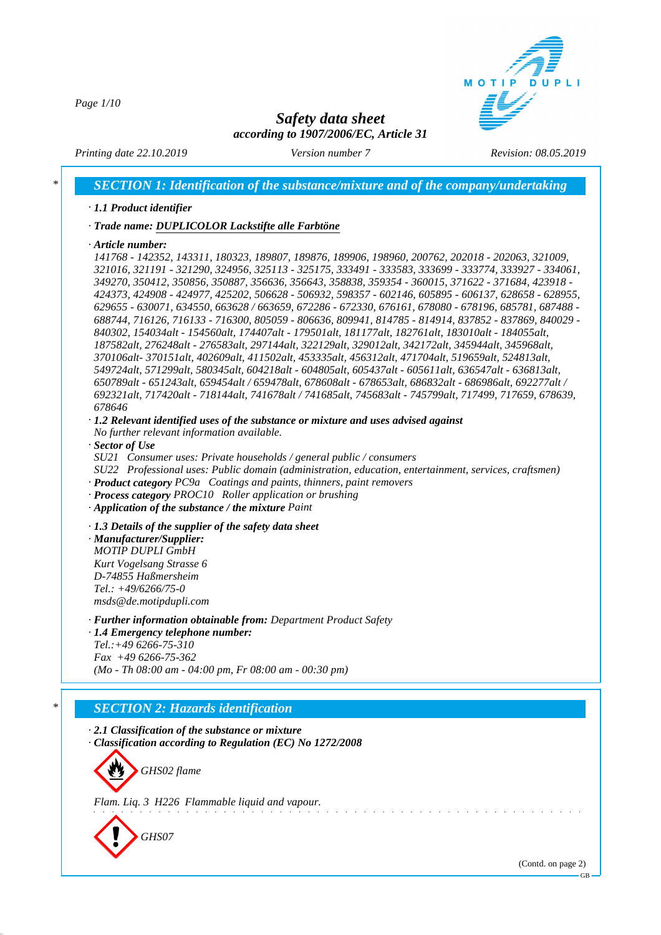*Page 1/10*



# *Safety data sheet according to 1907/2006/EC, Article 31*

*Printing date 22.10.2019 Version number 7 Revision: 08.05.2019*

*\* SECTION 1: Identification of the substance/mixture and of the company/undertaking*

#### *· 1.1 Product identifier*

*· Trade name: DUPLICOLOR Lackstifte alle Farbtöne*

*· Article number:*

*141768 - 142352, 143311, 180323, 189807, 189876, 189906, 198960, 200762, 202018 - 202063, 321009, 321016, 321191 - 321290, 324956, 325113 - 325175, 333491 - 333583, 333699 - 333774, 333927 - 334061, 349270, 350412, 350856, 350887, 356636, 356643, 358838, 359354 - 360015, 371622 - 371684, 423918 - 424373, 424908 - 424977, 425202, 506628 - 506932, 598357 - 602146, 605895 - 606137, 628658 - 628955, 629655 - 630071, 634550, 663628 / 663659, 672286 - 672330, 676161, 678080 - 678196, 685781, 687488 - 688744, 716126, 716133 - 716300, 805059 - 806636, 809941, 814785 - 814914, 837852 - 837869, 840029 - 840302, 154034alt - 154560alt, 174407alt - 179501alt, 181177alt, 182761alt, 183010alt - 184055alt, 187582alt, 276248alt - 276583alt, 297144alt, 322129alt, 329012alt, 342172alt, 345944alt, 345968alt, 370106alt- 370151alt, 402609alt, 411502alt, 453335alt, 456312alt, 471704alt, 519659alt, 524813alt, 549724alt, 571299alt, 580345alt, 604218alt - 604805alt, 605437alt - 605611alt, 636547alt - 636813alt, 650789alt - 651243alt, 659454alt / 659478alt, 678608alt - 678653alt, 686832alt - 686986alt, 692277alt / 692321alt, 717420alt - 718144alt, 741678alt / 741685alt, 745683alt - 745799alt, 717499, 717659, 678639, 678646*

*· 1.2 Relevant identified uses of the substance or mixture and uses advised against*

*No further relevant information available.*

- *· Sector of Use*
- *SU21 Consumer uses: Private households / general public / consumers*

*SU22 Professional uses: Public domain (administration, education, entertainment, services, craftsmen) · Product category PC9a Coatings and paints, thinners, paint removers*

- *· Process category PROC10 Roller application or brushing*
- *· Application of the substance / the mixture Paint*

*· 1.3 Details of the supplier of the safety data sheet*

*· Manufacturer/Supplier: MOTIP DUPLI GmbH Kurt Vogelsang Strasse 6 D-74855 Haßmersheim Tel.: +49/6266/75-0 msds@de.motipdupli.com*

*· Further information obtainable from: Department Product Safety*

*· 1.4 Emergency telephone number: Tel.:+49 6266-75-310 Fax +49 6266-75-362 (Mo - Th 08:00 am - 04:00 pm, Fr 08:00 am - 00:30 pm)*

### *\* SECTION 2: Hazards identification*

*· 2.1 Classification of the substance or mixture · Classification according to Regulation (EC) No 1272/2008*



*Flam. Liq. 3 H226 Flammable liquid and vapour.*



(Contd. on page 2)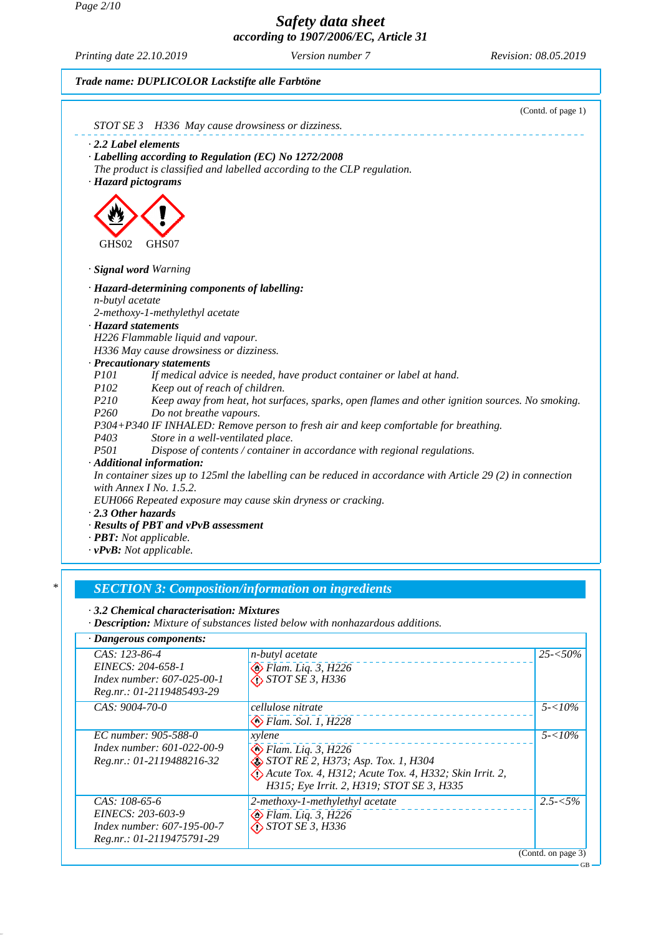*Page 2/10*

*Safety data sheet according to 1907/2006/EC, Article 31*

*Printing date 22.10.2019 Version number 7 Revision: 08.05.2019*

|                                |                                                                                                             | (Contd. of page 1) |
|--------------------------------|-------------------------------------------------------------------------------------------------------------|--------------------|
|                                | STOT SE 3 H336 May cause drowsiness or dizziness.                                                           |                    |
| $\cdot$ 2.2 Label elements     |                                                                                                             |                    |
|                                | · Labelling according to Regulation (EC) No 1272/2008                                                       |                    |
|                                | The product is classified and labelled according to the CLP regulation.                                     |                    |
| · Hazard pictograms            |                                                                                                             |                    |
|                                |                                                                                                             |                    |
|                                |                                                                                                             |                    |
|                                |                                                                                                             |                    |
| GHS02                          | GHS07                                                                                                       |                    |
|                                |                                                                                                             |                    |
| · Signal word Warning          |                                                                                                             |                    |
|                                | · Hazard-determining components of labelling:                                                               |                    |
| n-butyl acetate                |                                                                                                             |                    |
|                                | 2-methoxy-1-methylethyl acetate                                                                             |                    |
| · Hazard statements            |                                                                                                             |                    |
|                                | H226 Flammable liquid and vapour.                                                                           |                    |
|                                | H336 May cause drowsiness or dizziness.                                                                     |                    |
|                                | · Precautionary statements                                                                                  |                    |
| <i>P101</i>                    | If medical advice is needed, have product container or label at hand.                                       |                    |
| P102                           | Keep out of reach of children.                                                                              |                    |
| P210                           | Keep away from heat, hot surfaces, sparks, open flames and other ignition sources. No smoking.              |                    |
| P <sub>260</sub>               | Do not breathe vapours.                                                                                     |                    |
|                                | P304+P340 IF INHALED: Remove person to fresh air and keep comfortable for breathing.                        |                    |
| P403                           | Store in a well-ventilated place.                                                                           |                    |
| <i>P501</i>                    | Dispose of contents / container in accordance with regional regulations.                                    |                    |
|                                | · Additional information:                                                                                   |                    |
|                                | In container sizes up to 125ml the labelling can be reduced in accordance with Article 29 (2) in connection |                    |
|                                | with Annex I No. $1.5.2$ .                                                                                  |                    |
|                                | EUH066 Repeated exposure may cause skin dryness or cracking.                                                |                    |
| $\cdot$ 2.3 Other hazards      |                                                                                                             |                    |
|                                | · Results of PBT and vPvB assessment                                                                        |                    |
| · <b>PBT</b> : Not applicable. |                                                                                                             |                    |
|                                | $\cdot v$ PvB: Not applicable.                                                                              |                    |
|                                |                                                                                                             |                    |
|                                | <b>SECTION 3: Composition/information on ingredients</b>                                                    |                    |
|                                | 3.2 Chemical characterisation: Mixtures                                                                     |                    |
|                                | · Description: Mixture of substances listed below with nonhazardous additions.                              |                    |

| $CAS: 123-86-4$                   | <i>n-butyl</i> acetate                                 | $25 - 50\%$        |
|-----------------------------------|--------------------------------------------------------|--------------------|
| EINECS: 204-658-1                 | $\diamond$ Flam. Liq. 3, H226                          |                    |
| <i>Index number: 607-025-00-1</i> | $\bigotimes$ STOT SE 3, H336                           |                    |
| Reg.nr.: 01-2119485493-29         |                                                        |                    |
| CAS: 9004-70-0                    | cellulose nitrate                                      | $5 - 10\%$         |
|                                   | $\bigotimes$ Flam. Sol. 1, H228                        |                    |
| EC number: 905-588-0              | xylene                                                 | $5 - 10\%$         |
| Index number: 601-022-00-9        | $\otimes$ Flam. Liq. 3, H226                           |                    |
| Reg.nr.: 01-2119488216-32         | $\hat{\otimes}$ STOT RE 2, H373; Asp. Tox. 1, H304     |                    |
|                                   | Acute Tox. 4, H312; Acute Tox. 4, H332; Skin Irrit. 2, |                    |
|                                   | H315; Eye Irrit. 2, H319; STOT SE 3, H335              |                    |
| $CAS: 108-65-6$                   | 2-methoxy-1-methylethyl acetate                        | $2.5 - 5\%$        |
| EINECS: 203-603-9                 | $\bigotimes$ Flam. Liq. 3, H226                        |                    |
| <i>Index number: 607-195-00-7</i> | $\bigotimes$ STOT SE 3, H336                           |                    |
| Reg.nr.: 01-2119475791-29         |                                                        |                    |
|                                   |                                                        | (Contd. on page 3) |
|                                   |                                                        | GB                 |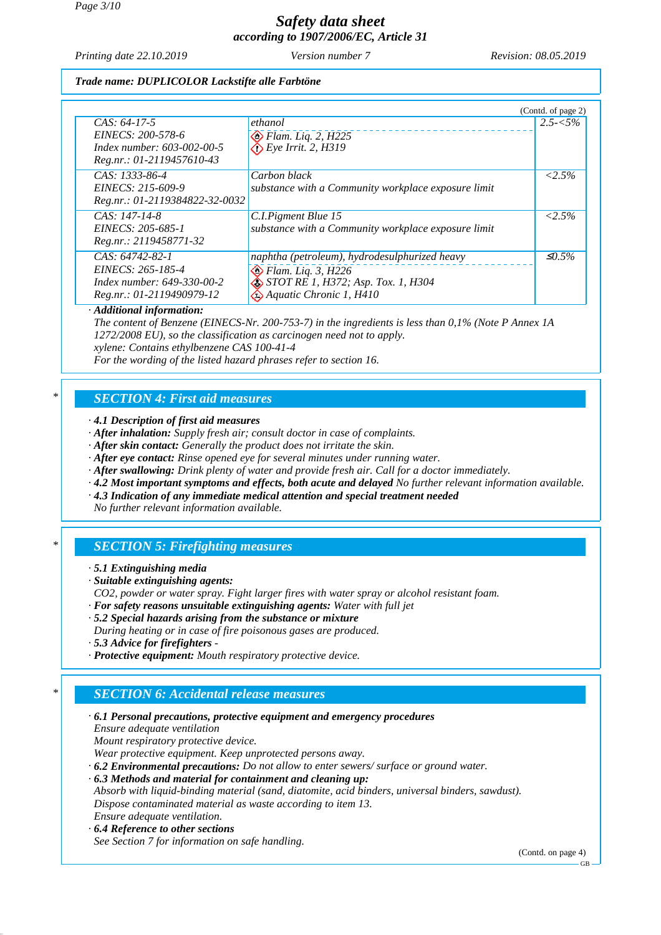*Printing date 22.10.2019 Version number 7 Revision: 08.05.2019*

### *Trade name: DUPLICOLOR Lackstifte alle Farbtöne*

|                                |                                                     | (Contd. of page 2) |
|--------------------------------|-----------------------------------------------------|--------------------|
| $CAS: 64-17-5$                 | ethanol                                             | $2.5 - 5\%$        |
| EINECS: 200-578-6              | $\bigotimes$ Flam. Liq. 2, H225                     |                    |
| Index number: 603-002-00-5     | $\bigotimes E$ ye Irrit. 2, H319                    |                    |
| Reg.nr.: 01-2119457610-43      |                                                     |                    |
| $CAS: 1333-86-4$               | Carbon black                                        | $< 2.5\%$          |
| EINECS: 215-609-9              | substance with a Community workplace exposure limit |                    |
| Reg.nr.: 01-2119384822-32-0032 |                                                     |                    |
| $CAS: 147-14-8$                | C.I.Pigment Blue 15                                 | $< 2.5\%$          |
| EINECS: 205-685-1              | substance with a Community workplace exposure limit |                    |
| Reg.nr.: 2119458771-32         |                                                     |                    |
| $CAS: 64742-82-1$              | naphtha (petroleum), hydrodesulphurized heavy       | $\leq 0.5\%$       |
| EINECS: 265-185-4              | $\otimes$ Flam. Liq. 3, H226                        |                    |
| Index number: 649-330-00-2     | STOT RE 1, H372; Asp. Tox. 1, H304                  |                    |
| Reg.nr.: 01-2119490979-12      | $\hat{\ll}$ Aquatic Chronic 1, H410                 |                    |

#### *· Additional information:*

*The content of Benzene (EINECS-Nr. 200-753-7) in the ingredients is less than 0,1% (Note P Annex 1A 1272/2008 EU), so the classification as carcinogen need not to apply.*

*xylene: Contains ethylbenzene CAS 100-41-4*

*For the wording of the listed hazard phrases refer to section 16.*

## *\* SECTION 4: First aid measures*

*· 4.1 Description of first aid measures*

- *· After inhalation: Supply fresh air; consult doctor in case of complaints.*
- *· After skin contact: Generally the product does not irritate the skin.*
- *· After eye contact: Rinse opened eye for several minutes under running water.*
- *· After swallowing: Drink plenty of water and provide fresh air. Call for a doctor immediately.*
- *· 4.2 Most important symptoms and effects, both acute and delayed No further relevant information available.*
- *· 4.3 Indication of any immediate medical attention and special treatment needed*

*No further relevant information available.*

## *\* SECTION 5: Firefighting measures*

- *· 5.1 Extinguishing media*
- *· Suitable extinguishing agents:*
- *CO2, powder or water spray. Fight larger fires with water spray or alcohol resistant foam.*
- *· For safety reasons unsuitable extinguishing agents: Water with full jet*
- *· 5.2 Special hazards arising from the substance or mixture*
- *During heating or in case of fire poisonous gases are produced.*
- *· 5.3 Advice for firefighters*
- *· Protective equipment: Mouth respiratory protective device.*

# *\* SECTION 6: Accidental release measures*

*· 6.1 Personal precautions, protective equipment and emergency procedures Ensure adequate ventilation Mount respiratory protective device. Wear protective equipment. Keep unprotected persons away. · 6.2 Environmental precautions: Do not allow to enter sewers/ surface or ground water. · 6.3 Methods and material for containment and cleaning up: Absorb with liquid-binding material (sand, diatomite, acid binders, universal binders, sawdust). Dispose contaminated material as waste according to item 13. Ensure adequate ventilation.*

*· 6.4 Reference to other sections See Section 7 for information on safe handling.*

(Contd. on page 4)

GB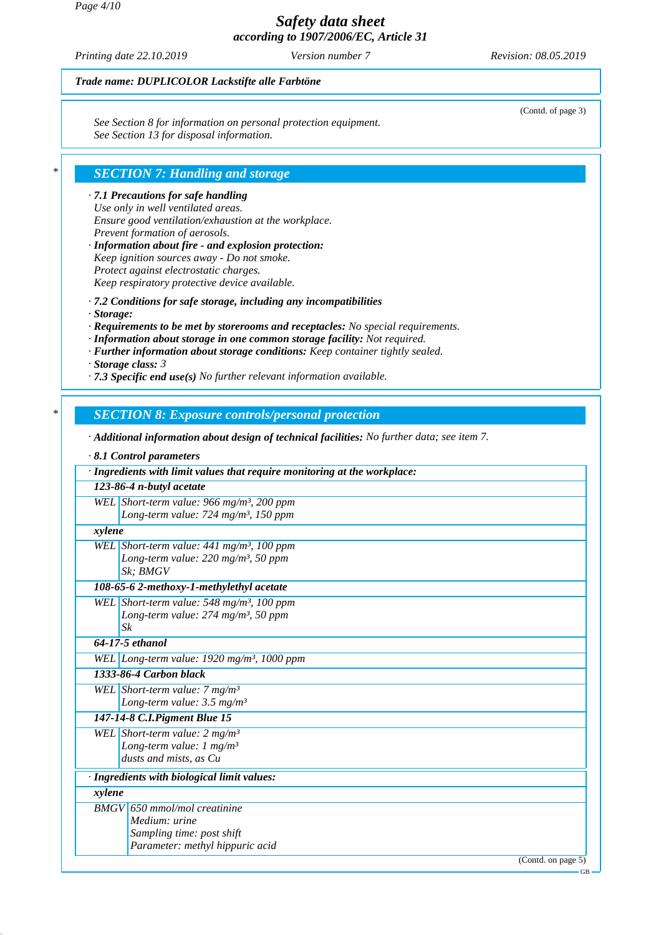*Printing date 22.10.2019 Version number 7 Revision: 08.05.2019*

(Contd. of page 3)

### *Trade name: DUPLICOLOR Lackstifte alle Farbtöne*

*See Section 8 for information on personal protection equipment. See Section 13 for disposal information.*

## *\* SECTION 7: Handling and storage*

*· 7.1 Precautions for safe handling Use only in well ventilated areas. Ensure good ventilation/exhaustion at the workplace. Prevent formation of aerosols.*

*· Information about fire - and explosion protection: Keep ignition sources away - Do not smoke. Protect against electrostatic charges. Keep respiratory protective device available.*

*· 7.2 Conditions for safe storage, including any incompatibilities*

- *· Storage:*
- *· Requirements to be met by storerooms and receptacles: No special requirements.*
- *· Information about storage in one common storage facility: Not required.*
- *· Further information about storage conditions: Keep container tightly sealed.*

*· Storage class: 3* 

*· 7.3 Specific end use(s) No further relevant information available.*

### *\* SECTION 8: Exposure controls/personal protection*

*· Additional information about design of technical facilities: No further data; see item 7.*

#### *· 8.1 Control parameters*

|        | · Ingredients with limit values that require monitoring at the workplace: |        |
|--------|---------------------------------------------------------------------------|--------|
|        | 123-86-4 n-butyl acetate                                                  |        |
|        | WEL Short-term value: 966 mg/m <sup>3</sup> , 200 ppm                     |        |
|        | Long-term value: 724 mg/m <sup>3</sup> , 150 ppm                          |        |
| xylene |                                                                           |        |
|        | WEL Short-term value: $441$ mg/m <sup>3</sup> , 100 ppm                   |        |
|        | Long-term value: $220$ mg/m <sup>3</sup> , 50 ppm                         |        |
|        | Sk: BMGV                                                                  |        |
|        | 108-65-6 2-methoxy-1-methylethyl acetate                                  |        |
|        | WEL Short-term value: 548 mg/m <sup>3</sup> , 100 ppm                     |        |
|        | Long-term value: $274$ mg/m <sup>3</sup> , 50 ppm                         |        |
|        | $S_k$                                                                     |        |
|        | 64-17-5 ethanol                                                           |        |
|        | WEL Long-term value: $1920$ mg/m <sup>3</sup> , 1000 ppm                  |        |
|        | 1333-86-4 Carbon black                                                    |        |
|        | WEL Short-term value: $7 \text{ mg/m}^3$                                  |        |
|        | Long-term value: $3.5 \text{ mg/m}^3$                                     |        |
|        | 147-14-8 C.I. Pigment Blue 15                                             |        |
|        | WEL Short-term value: $2 mg/m3$                                           |        |
|        | Long-term value: $1 \text{ mg/m}^3$                                       |        |
|        | dusts and mists, as Cu                                                    |        |
|        | · Ingredients with biological limit values:                               |        |
| xylene |                                                                           |        |
|        | BMGV 650 mmol/mol creatinine                                              |        |
|        | Medium: urine                                                             |        |
|        | Sampling time: post shift                                                 |        |
|        | Parameter: methyl hippuric acid                                           |        |
|        | (Contd. on page 5)                                                        |        |
|        |                                                                           | $GB -$ |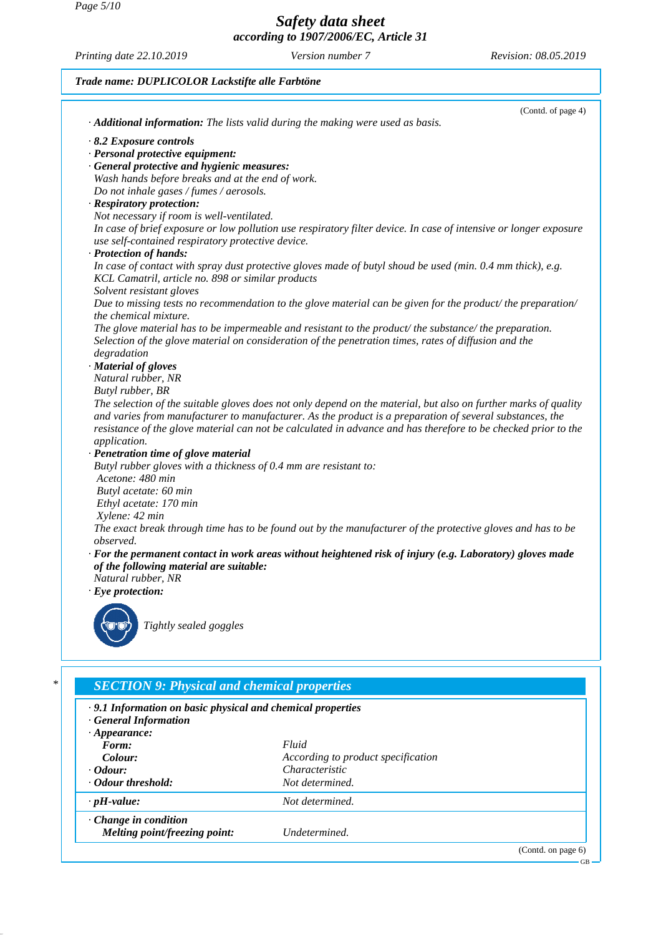*Page 5/10*

*Safety data sheet according to 1907/2006/EC, Article 31*

*Printing date 22.10.2019 Version number 7 Revision: 08.05.2019*

### *Trade name: DUPLICOLOR Lackstifte alle Farbtöne*



| $\sigma$ . The state $\sigma$ is the second when $\sigma$ is chemically proper from<br>$\cdot$ 9.1 Information on basic physical and chemical properties<br>General Information |                                    |                       |  |
|---------------------------------------------------------------------------------------------------------------------------------------------------------------------------------|------------------------------------|-----------------------|--|
|                                                                                                                                                                                 |                                    |                       |  |
| $\cdot$ Odour:                                                                                                                                                                  | Characteristic                     |                       |  |
| Odour threshold:<br>$\cdot$ pH-value:                                                                                                                                           | Not determined.<br>Not determined. |                       |  |
| $\cdot$ Change in condition<br>Melting point/freezing point:                                                                                                                    | Undetermined.                      |                       |  |
|                                                                                                                                                                                 |                                    | (Contd. on page $6$ ) |  |

GB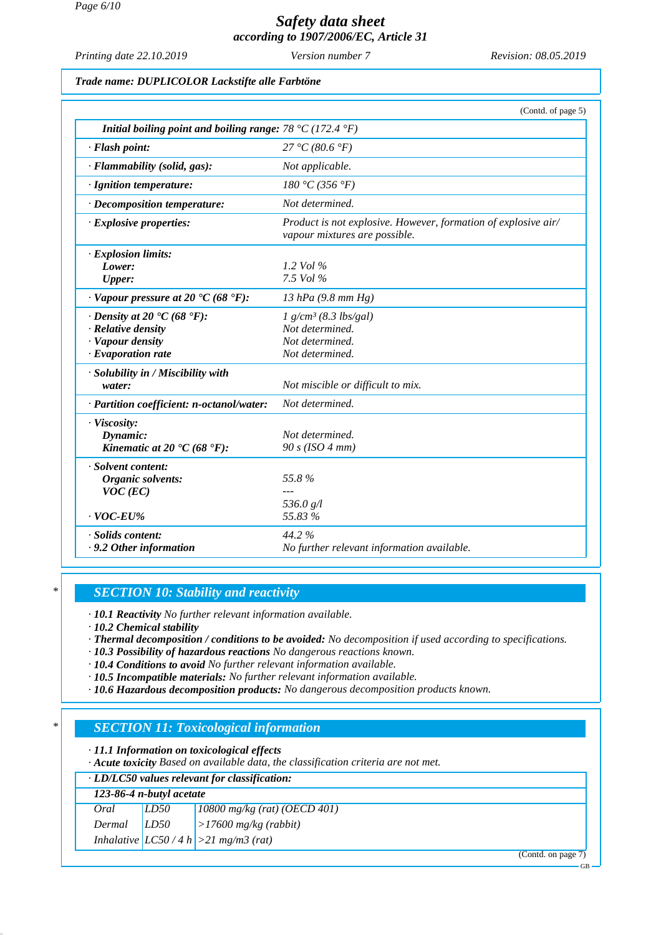*Printing date 22.10.2019 Version number 7 Revision: 08.05.2019*

### *Trade name: DUPLICOLOR Lackstifte alle Farbtöne*

|                                                           | (Contd. of page 5)                                                                              |
|-----------------------------------------------------------|-------------------------------------------------------------------------------------------------|
| Initial boiling point and boiling range: 78 °C (172.4 °F) |                                                                                                 |
| $\cdot$ Flash point:                                      | 27 °C (80.6 °F)                                                                                 |
| · Flammability (solid, gas):                              | Not applicable.                                                                                 |
| · Ignition temperature:                                   | 180 °C (356 °F)                                                                                 |
| · Decomposition temperature:                              | Not determined.                                                                                 |
| $\cdot$ Explosive properties:                             | Product is not explosive. However, formation of explosive air/<br>vapour mixtures are possible. |
| · Explosion limits:                                       |                                                                                                 |
| Lower:                                                    | 1.2 Vol $\%$                                                                                    |
| Upper:                                                    | 7.5 Vol %                                                                                       |
| $\cdot$ Vapour pressure at 20 $\cdot$ C (68 $\cdot$ F):   | 13 hPa $(9.8 \, \text{mm Hg})$                                                                  |
| $\cdot$ Density at 20 $\cdot$ C (68 $\cdot$ F):           | $1 g/cm^3$ (8.3 lbs/gal)                                                                        |
| $\cdot$ Relative density                                  | Not determined.                                                                                 |
| · Vapour density                                          | Not determined.                                                                                 |
| $\cdot$ Evaporation rate                                  | Not determined.                                                                                 |
| · Solubility in / Miscibility with                        |                                                                                                 |
| water:                                                    | Not miscible or difficult to mix.                                                               |
| · Partition coefficient: n-octanol/water:                 | Not determined.                                                                                 |
| · Viscosity:                                              |                                                                                                 |
| Dynamic:                                                  | Not determined.                                                                                 |
| Kinematic at 20 $\textdegree$ C (68 $\textdegree$ F):     | 90 s (ISO 4 mm)                                                                                 |
| · Solvent content:                                        |                                                                                                 |
| Organic solvents:                                         | 55.8%                                                                                           |
| $VOC$ (EC)                                                |                                                                                                 |
|                                                           | 536.0 g/l                                                                                       |
| $\cdot$ VOC-EU%                                           | 55.83 %                                                                                         |
| · Solids content:                                         | 44.2%                                                                                           |
| .9.2 Other information                                    | No further relevant information available.                                                      |
|                                                           |                                                                                                 |

### *\* SECTION 10: Stability and reactivity*

*· 10.1 Reactivity No further relevant information available.*

*· 10.2 Chemical stability*

*· Thermal decomposition / conditions to be avoided: No decomposition if used according to specifications.*

- *· 10.3 Possibility of hazardous reactions No dangerous reactions known.*
- *· 10.4 Conditions to avoid No further relevant information available.*
- *· 10.5 Incompatible materials: No further relevant information available.*
- *· 10.6 Hazardous decomposition products: No dangerous decomposition products known.*

# *\* SECTION 11: Toxicological information*

*· 11.1 Information on toxicological effects*

*· Acute toxicity Based on available data, the classification criteria are not met.*

| · LD/LC50 values relevant for classification: |                            |                                          |  |
|-----------------------------------------------|----------------------------|------------------------------------------|--|
|                                               | $123-86-4$ n-butyl acetate |                                          |  |
| Oral                                          | LD50                       | $10800$ mg/kg (rat) (OECD 401)           |  |
| Dermal                                        | LD50                       | $ >17600$ mg/kg (rabbit)                 |  |
|                                               |                            | Inhalative $ LCS0/4 h  > 21 mg/m3$ (rat) |  |
|                                               |                            | (Contd. on page 7)                       |  |

GB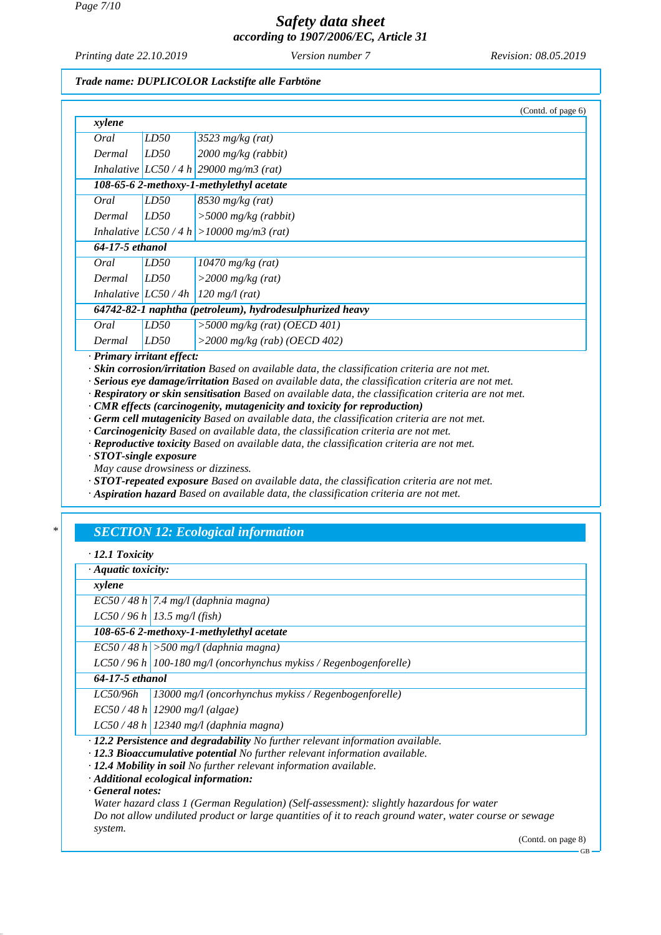*Printing date 22.10.2019 Version number 7 Revision: 08.05.2019*

#### *Trade name: DUPLICOLOR Lackstifte alle Farbtöne*

|                 |                                                          | (Contd. of page 6)                          |  |
|-----------------|----------------------------------------------------------|---------------------------------------------|--|
| xylene          |                                                          |                                             |  |
| Oral            | LD50                                                     | $3523$ mg/kg (rat)                          |  |
| Dermal          | LD50                                                     | $2000$ mg/kg (rabbit)                       |  |
|                 |                                                          | Inhalative $ LCS0/4 h $ 29000 mg/m3 (rat)   |  |
|                 |                                                          | 108-65-6 2-methoxy-1-methylethyl acetate    |  |
| Oral            | LD50                                                     | $8530$ mg/kg (rat)                          |  |
| Dermal          | LD50                                                     | $>$ 5000 mg/kg (rabbit)                     |  |
|                 |                                                          | Inhalative $ LCS0/4 h  > 10000 mg/m3$ (rat) |  |
| 64-17-5 ethanol |                                                          |                                             |  |
| Oral            | LD50                                                     | $10470$ mg/kg (rat)                         |  |
| Dermal          | LD50                                                     | $>$ 2000 mg/kg (rat)                        |  |
|                 | Inhalative $LC50/4h$                                     | $120$ mg/l (rat)                            |  |
|                 | 64742-82-1 naphtha (petroleum), hydrodesulphurized heavy |                                             |  |
| Oral            | LD50                                                     | $>$ 5000 mg/kg (rat) (OECD 401)             |  |
| Dermal          | LD50                                                     | $>$ 2000 mg/kg (rab) (OECD 402)             |  |

*· Primary irritant effect:*

*· Skin corrosion/irritation Based on available data, the classification criteria are not met.*

*· Serious eye damage/irritation Based on available data, the classification criteria are not met.*

*· Respiratory or skin sensitisation Based on available data, the classification criteria are not met.*

*· CMR effects (carcinogenity, mutagenicity and toxicity for reproduction)*

*· Germ cell mutagenicity Based on available data, the classification criteria are not met.*

*· Carcinogenicity Based on available data, the classification criteria are not met.*

*· Reproductive toxicity Based on available data, the classification criteria are not met.*

*· STOT-single exposure*

*May cause drowsiness or dizziness.*

*· STOT-repeated exposure Based on available data, the classification criteria are not met.*

*· Aspiration hazard Based on available data, the classification criteria are not met.*

## *\* SECTION 12: Ecological information*

*· 12.1 Toxicity*

*· Aquatic toxicity:*

*xylene*

*EC50 / 48 h 7.4 mg/l (daphnia magna)*

*LC50 / 96 h 13.5 mg/l (fish)*

*108-65-6 2-methoxy-1-methylethyl acetate*

*EC50 / 48 h >500 mg/l (daphnia magna)*

*LC50 / 96 h 100-180 mg/l (oncorhynchus mykiss / Regenbogenforelle)*

*64-17-5 ethanol*

*LC50/96h 13000 mg/l (oncorhynchus mykiss / Regenbogenforelle)*

*EC50 / 48 h 12900 mg/l (algae)*

*LC50 / 48 h 12340 mg/l (daphnia magna)*

*· 12.2 Persistence and degradability No further relevant information available.*

*· 12.3 Bioaccumulative potential No further relevant information available.*

*· 12.4 Mobility in soil No further relevant information available.*

*· Additional ecological information:*

*· General notes:*

*Water hazard class 1 (German Regulation) (Self-assessment): slightly hazardous for water Do not allow undiluted product or large quantities of it to reach ground water, water course or sewage system.*

(Contd. on page 8)

GB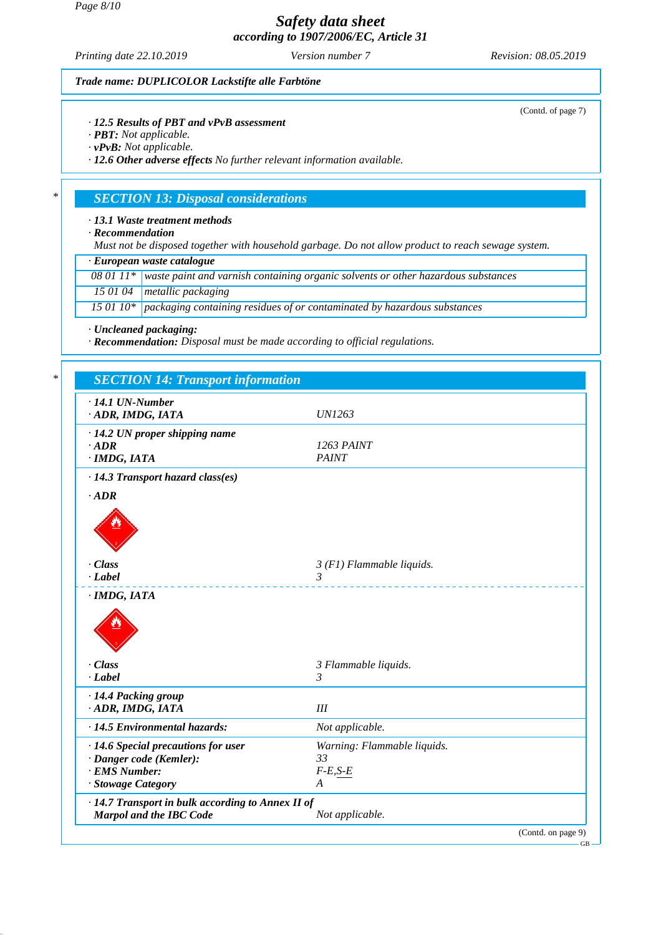*Page 8/10*

## *Safety data sheet according to 1907/2006/EC, Article 31*

*Printing date 22.10.2019 Version number 7 Revision: 08.05.2019*

(Contd. of page 7)

#### *Trade name: DUPLICOLOR Lackstifte alle Farbtöne*

#### *· 12.5 Results of PBT and vPvB assessment*

- *· PBT: Not applicable.*
- *· vPvB: Not applicable.*

*· 12.6 Other adverse effects No further relevant information available.*

### *\* SECTION 13: Disposal considerations*

#### *· 13.1 Waste treatment methods*

*· Recommendation*

*Must not be disposed together with household garbage. Do not allow product to reach sewage system.*

*· European waste catalogue*

*08 01 11\* waste paint and varnish containing organic solvents or other hazardous substances*

*15 01 04 metallic packaging*

*15 01 10\* packaging containing residues of or contaminated by hazardous substances*

*· Uncleaned packaging:*

*· Recommendation: Disposal must be made according to official regulations.*

| $\cdot$ 14.1 UN-Number<br>· ADR, IMDG, IATA       | <b>UN1263</b>               |
|---------------------------------------------------|-----------------------------|
| $\cdot$ 14.2 UN proper shipping name              |                             |
| $\cdot$ ADR                                       | <b>1263 PAINT</b>           |
| · IMDG, IATA                                      | <b>PAINT</b>                |
| · 14.3 Transport hazard class(es)                 |                             |
| $\cdot$ ADR                                       |                             |
|                                                   |                             |
| · Class                                           | $3$ (F1) Flammable liquids. |
| $-Label$                                          | $\overline{3}$              |
|                                                   | 3 Flammable liquids.        |
|                                                   |                             |
| · Class                                           |                             |
| $\cdot$ Label                                     | 3                           |
| · 14.4 Packing group                              |                             |
| · ADR, IMDG, IATA                                 | III                         |
| · 14.5 Environmental hazards:                     | Not applicable.             |
| · 14.6 Special precautions for user               | Warning: Flammable liquids. |
| · Danger code (Kemler):                           | 33                          |
| · EMS Number:                                     | $F-E,S-E$                   |
| · Stowage Category                                | A                           |
| · 14.7 Transport in bulk according to Annex II of |                             |

GB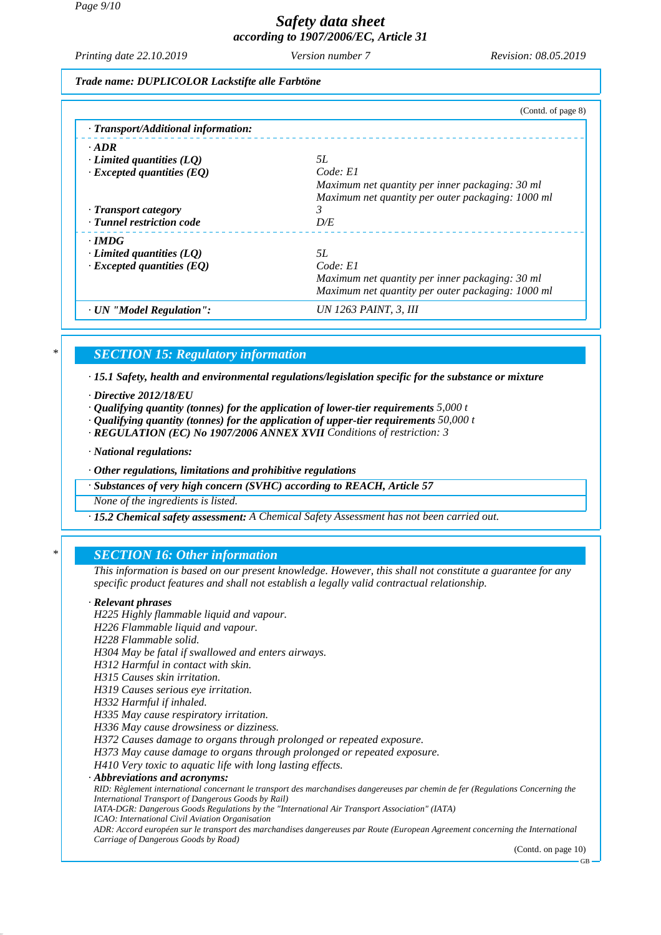*Printing date 22.10.2019 Version number 7 Revision: 08.05.2019*

*Trade name: DUPLICOLOR Lackstifte alle Farbtöne*

|                                           | (Contd. of page 8)                                |
|-------------------------------------------|---------------------------------------------------|
| $\cdot$ Transport/Additional information: |                                                   |
| $\cdot$ ADR                               |                                                   |
| $\cdot$ Limited quantities (LQ)           | 5L                                                |
| $\cdot$ Excepted quantities (EQ)          | Code: El                                          |
|                                           | Maximum net quantity per inner packaging: 30 ml   |
|                                           | Maximum net quantity per outer packaging: 1000 ml |
| · Transport category                      | 3                                                 |
| · Tunnel restriction code                 | D/E                                               |
| $\cdot$ IMDG                              |                                                   |
| $\cdot$ Limited quantities (LQ)           | 5L                                                |
| $\cdot$ Excepted quantities (EQ)          | Code: El                                          |
|                                           | Maximum net quantity per inner packaging: 30 ml   |
|                                           | Maximum net quantity per outer packaging: 1000 ml |
| · UN "Model Regulation":                  | UN 1263 PAINT, 3, III                             |

## *\* SECTION 15: Regulatory information*

*· 15.1 Safety, health and environmental regulations/legislation specific for the substance or mixture*

- *· Directive 2012/18/EU*
- *· Qualifying quantity (tonnes) for the application of lower-tier requirements 5,000 t*
- *· Qualifying quantity (tonnes) for the application of upper-tier requirements 50,000 t*
- *· REGULATION (EC) No 1907/2006 ANNEX XVII Conditions of restriction: 3*
- *· National regulations:*
- *· Other regulations, limitations and prohibitive regulations*

*· Substances of very high concern (SVHC) according to REACH, Article 57*

*None of the ingredients is listed.*

*· 15.2 Chemical safety assessment: A Chemical Safety Assessment has not been carried out.*

### *\* SECTION 16: Other information*

*This information is based on our present knowledge. However, this shall not constitute a guarantee for any specific product features and shall not establish a legally valid contractual relationship.*

#### *· Relevant phrases*

*H225 Highly flammable liquid and vapour.*

- *H226 Flammable liquid and vapour.*
- *H228 Flammable solid.*
- *H304 May be fatal if swallowed and enters airways.*
- *H312 Harmful in contact with skin.*
- *H315 Causes skin irritation.*

*H319 Causes serious eye irritation.*

*H332 Harmful if inhaled.*

*H335 May cause respiratory irritation.*

*H336 May cause drowsiness or dizziness.*

*H372 Causes damage to organs through prolonged or repeated exposure.*

*H373 May cause damage to organs through prolonged or repeated exposure.*

*H410 Very toxic to aquatic life with long lasting effects.*

#### *· Abbreviations and acronyms:*

*RID: Règlement international concernant le transport des marchandises dangereuses par chemin de fer (Regulations Concerning the International Transport of Dangerous Goods by Rail)*

*IATA-DGR: Dangerous Goods Regulations by the "International Air Transport Association" (IATA)*

*ICAO: International Civil Aviation Organisation*

*ADR: Accord européen sur le transport des marchandises dangereuses par Route (European Agreement concerning the International Carriage of Dangerous Goods by Road)*

(Contd. on page 10)

GB